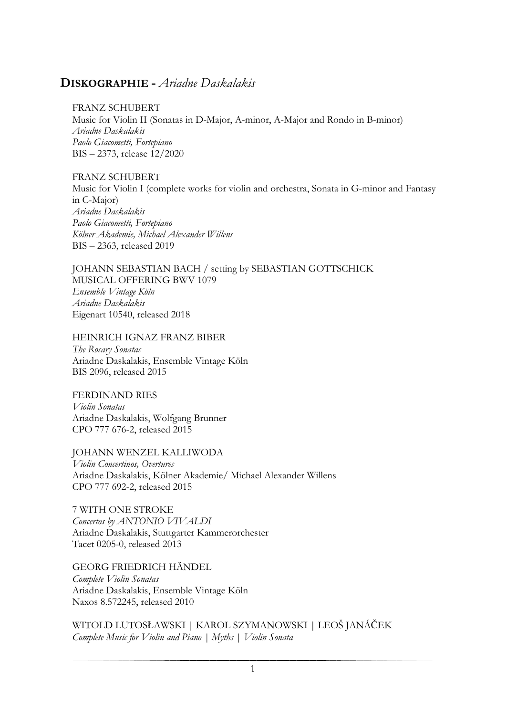## **DISKOGRAPHIE -** *Ariadne Daskalakis*

## FRANZ SCHUBERT

Music for Violin II (Sonatas in D-Major, A-minor, A-Major and Rondo in B-minor) *Ariadne Daskalakis Paolo Giacometti, Fortepiano* BIS – 2373, release 12/2020

FRANZ SCHUBERT Music for Violin I (complete works for violin and orchestra, Sonata in G-minor and Fantasy in C-Major) *Ariadne Daskalakis Paolo Giacometti, Fortepiano Kölner Akademie, Michael Alexander Willens* BIS – 2363, released 2019

JOHANN SEBASTIAN BACH / setting by SEBASTIAN GOTTSCHICK MUSICAL OFFERING BWV 1079 *Ensemble Vintage Köln Ariadne Daskalakis* Eigenart 10540, released 2018

HEINRICH IGNAZ FRANZ BIBER

*The Rosary Sonatas* Ariadne Daskalakis, Ensemble Vintage Köln BIS 2096, released 2015

FERDINAND RIES *Violin Sonatas* Ariadne Daskalakis, Wolfgang Brunner CPO 777 676-2, released 2015

JOHANN WENZEL KALLIWODA *Violin Concertinos, Overtures* Ariadne Daskalakis, Kölner Akademie/ Michael Alexander Willens CPO 777 692-2, released 2015

7 WITH ONE STROKE *Concertos by ANTONIO VIVALDI* Ariadne Daskalakis, Stuttgarter Kammerorchester Tacet 0205-0, released 2013

GEORG FRIEDRICH HÄNDEL *Complete Violin Sonatas* Ariadne Daskalakis, Ensemble Vintage Köln Naxos 8.572245, released 2010

WITOLD LUTOSŁAWSKI | KAROL SZYMANOWSKI | LEOŠ JANÁČEK *Complete Music for Violin and Piano | Myths | Violin Sonata*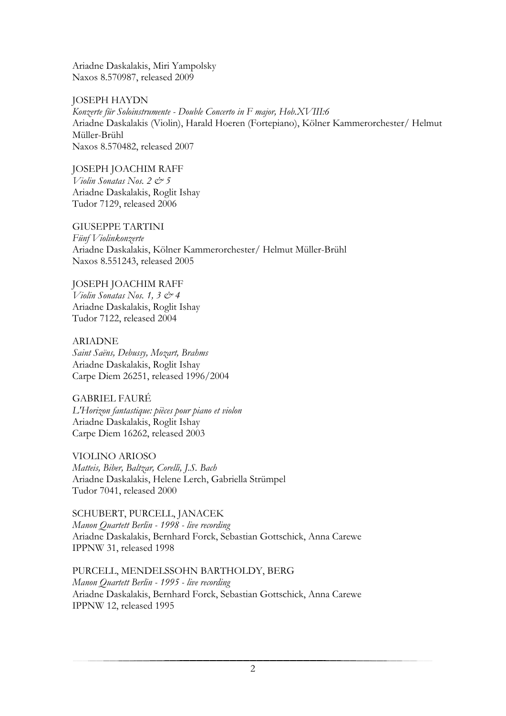Ariadne Daskalakis, Miri Yampolsky Naxos 8.570987, released 2009

JOSEPH HAYDN *Konzerte für Soloinstrumente - Double Concerto in F major, Hob.XVIII:6* Ariadne Daskalakis (Violin), Harald Hoeren (Fortepiano), Kölner Kammerorchester/ Helmut Müller-Brühl Naxos 8.570482, released 2007

JOSEPH JOACHIM RAFF *Violin Sonatas Nos. 2 & 5* Ariadne Daskalakis, Roglit Ishay Tudor 7129, released 2006

GIUSEPPE TARTINI *Fünf Violinkonzerte* Ariadne Daskalakis, Kölner Kammerorchester/ Helmut Müller-Brühl Naxos 8.551243, released 2005

JOSEPH JOACHIM RAFF *Violin Sonatas Nos. 1, 3 & 4* Ariadne Daskalakis, Roglit Ishay Tudor 7122, released 2004

ARIADNE *Saint Saëns, Debussy, Mozart, Brahms* Ariadne Daskalakis, Roglit Ishay Carpe Diem 26251, released 1996/2004

GABRIEL FAURÉ *L'Horizon fantastique: pièces pour piano et violon* Ariadne Daskalakis, Roglit Ishay Carpe Diem 16262, released 2003

VIOLINO ARIOSO *Matteis, Biber, Baltzar, Corelli, J.S. Bach* Ariadne Daskalakis, Helene Lerch, Gabriella Strümpel Tudor 7041, released 2000

SCHUBERT, PURCELL, JANACEK *Manon Quartett Berlin - 1998 - live recording* Ariadne Daskalakis, Bernhard Forck, Sebastian Gottschick, Anna Carewe IPPNW 31, released 1998

PURCELL, MENDELSSOHN BARTHOLDY, BERG *Manon Quartett Berlin - 1995 - live recording* Ariadne Daskalakis, Bernhard Forck, Sebastian Gottschick, Anna Carewe IPPNW 12, released 1995